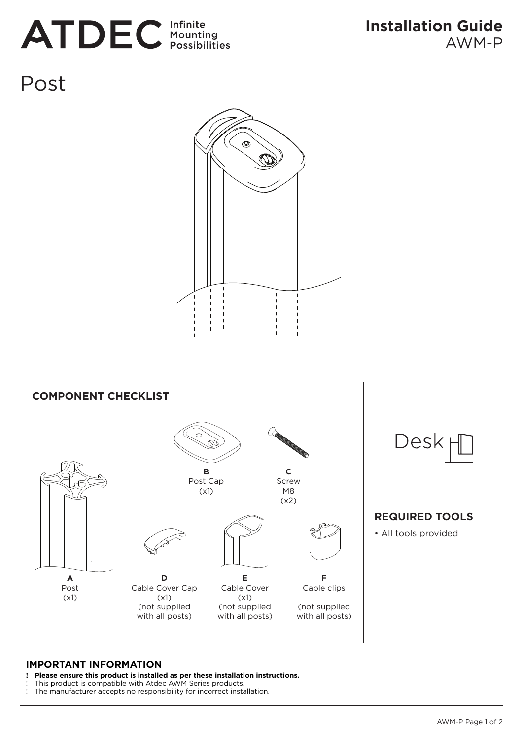# **ATDEC** Infinite

Post





#### **IMPORTANT INFORMATION**

- **! Please ensure this product is installed as per these installation instructions.**
- ! This product is compatible with Atdec AWM Series products.
- The manufacturer accepts no responsibility for incorrect installation.